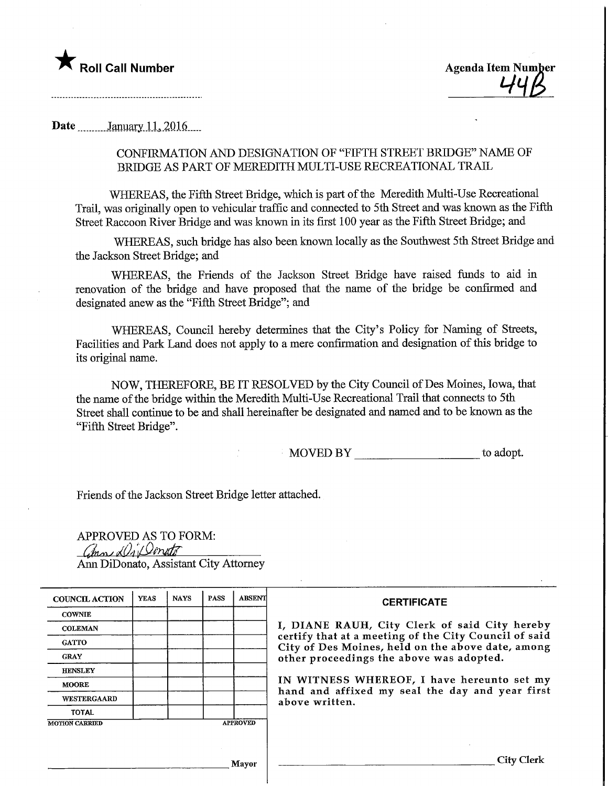

Date. ""..." January. 1.1, 2016,

## CONFIRMATION AND DESIGNATION OF "FIFTH STREET BRIDGE" NAME OF BRIDGE AS PART OF MEREDITH MULTI-USE RECREATIONAL TRAIL

WHEREAS, the Fifth Street Bridge, which is part of the Meredith Multi-Use Recreational Trail, was originally open to vehicular traffic and connected to 5th Street and was known as the Fifth Street Raccoon River Bridge and was known in its first 100 year as the Fifth Street Bridge; and

WHEREAS, such bridge has also been known locally as the Southwest 5th Street Bridge and the Jackson Street Bridge; and

WHEREAS, the Friends of the Jackson Street Bridge have raised funds to aid in renovation of the bridge and have proposed that the name of the bridge be confirmed and designated anew as the "Fifth Street Bridge"; and

WHEREAS, Council hereby determines that the City's Policy for Naming of Streets, Facilities and Park Land does not apply to a mere confirmation and designation of this bridge to its original name.

NOW, THEREFORE, BE IT RESOLVED by the City Council of Des Moines, Iowa, that the name of the bridge within the Meredith Multi-Use Recreational Trail that connects to 5th Street shall continue to be and shall hereinafter be designated and named and to be known as the "Fifth Street Bridge".

MOVED BY to adopt.

Friends of the Jackson Street Bridge letter attached.

APPROVED AS TO FORM:  $\mathcal{Q}_{\text{max}}$  Director Ann DiDonato, Assistant City Attorney

| <b>COUNCIL ACTION</b> | <b>YEAS</b> | <b>NAYS</b> | <b>PASS</b> | <b>ABSENT</b>   | <b>CERTIFICATE</b>                                                                                                                                                                                      |  |  |
|-----------------------|-------------|-------------|-------------|-----------------|---------------------------------------------------------------------------------------------------------------------------------------------------------------------------------------------------------|--|--|
| <b>COWNIE</b>         |             |             |             |                 | I, DIANE RAUH, City Clerk of said City hereby<br>certify that at a meeting of the City Council of said<br>City of Des Moines, held on the above date, among<br>other proceedings the above was adopted. |  |  |
| <b>COLEMAN</b>        |             |             |             |                 |                                                                                                                                                                                                         |  |  |
| <b>GATTO</b>          |             |             |             |                 |                                                                                                                                                                                                         |  |  |
| <b>GRAY</b>           |             |             |             |                 |                                                                                                                                                                                                         |  |  |
| <b>HENSLEY</b>        |             |             |             |                 |                                                                                                                                                                                                         |  |  |
| <b>MOORE</b>          |             |             |             |                 | IN WITNESS WHEREOF, I have hereunto set my<br>hand and affixed my seal the day and year first<br>above written.                                                                                         |  |  |
| WESTERGAARD           |             |             |             |                 |                                                                                                                                                                                                         |  |  |
| <b>TOTAL</b>          |             |             |             |                 |                                                                                                                                                                                                         |  |  |
| <b>MOTION CARRIED</b> |             |             |             | <b>APPROVED</b> |                                                                                                                                                                                                         |  |  |
|                       |             |             |             |                 |                                                                                                                                                                                                         |  |  |
|                       |             |             |             |                 |                                                                                                                                                                                                         |  |  |
| Mavor                 |             |             |             |                 | City Clerk                                                                                                                                                                                              |  |  |